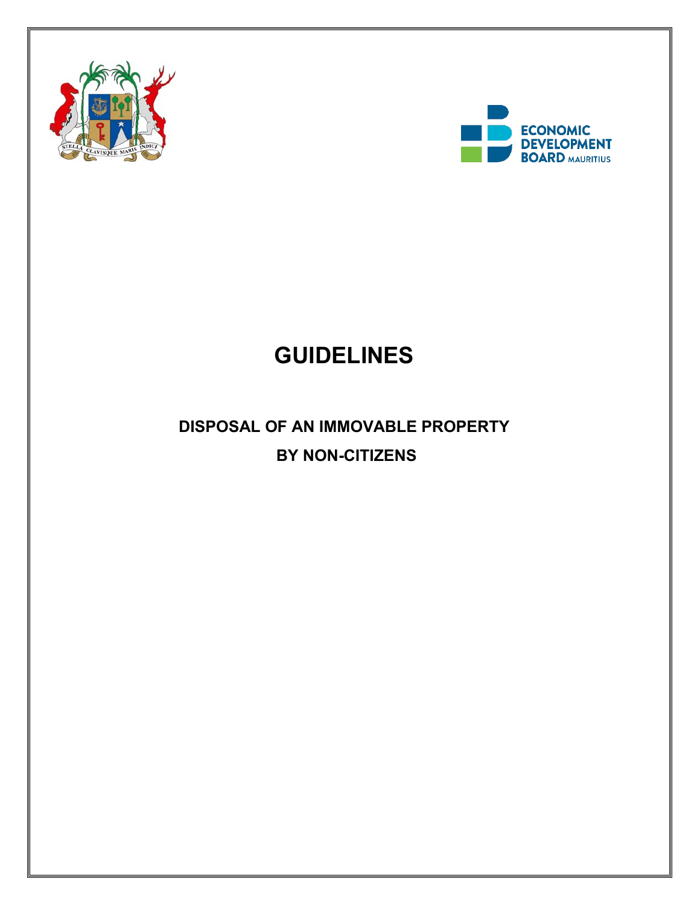



# **GUIDELINES**

# **DISPOSAL OF AN IMMOVABLE PROPERTY BY NON-CITIZENS**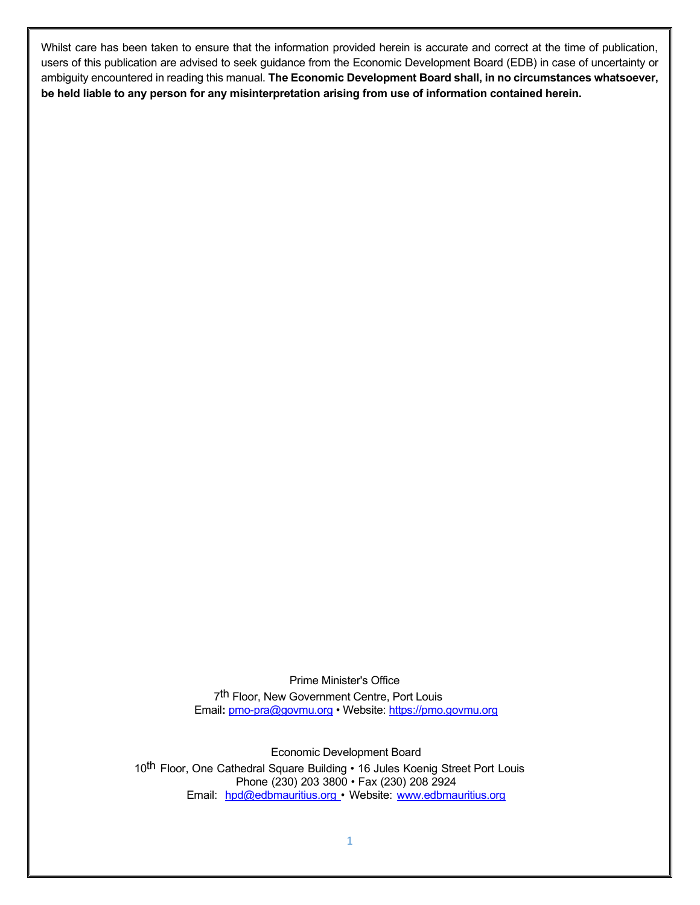Whilst care has been taken to ensure that the information provided herein is accurate and correct at the time of publication, users of this publication are advised to seek guidance from the Economic Development Board (EDB) in case of uncertainty or ambiguity encountered in reading this manual. **The Economic Development Board shall, in no circumstances whatsoever, be held liable to any person for any misinterpretation arising from use of information contained herein.**

Prime Minister's Office

7th Floor, New Government Centre, Port Louis Email**:** [pmo-pra@govmu.org](mailto:pmo-pra@govmu.org) • Website: [https://pmo.govmu.org](https://pmo.govmu.org/)

Economic Development Board 10<sup>th</sup> Floor, One Cathedral Square Building • 16 Jules Koenig Street Port Louis [Phone](mailto:hp@investmauritius.com) (230) 203 3800 • Fax [\(230\)](http://www.investmauritius.com/) 208 2924 Email: [hpd@edbmauritius.org](mailto:hp@investmauritius.com) • Website: www.edbmauritius.org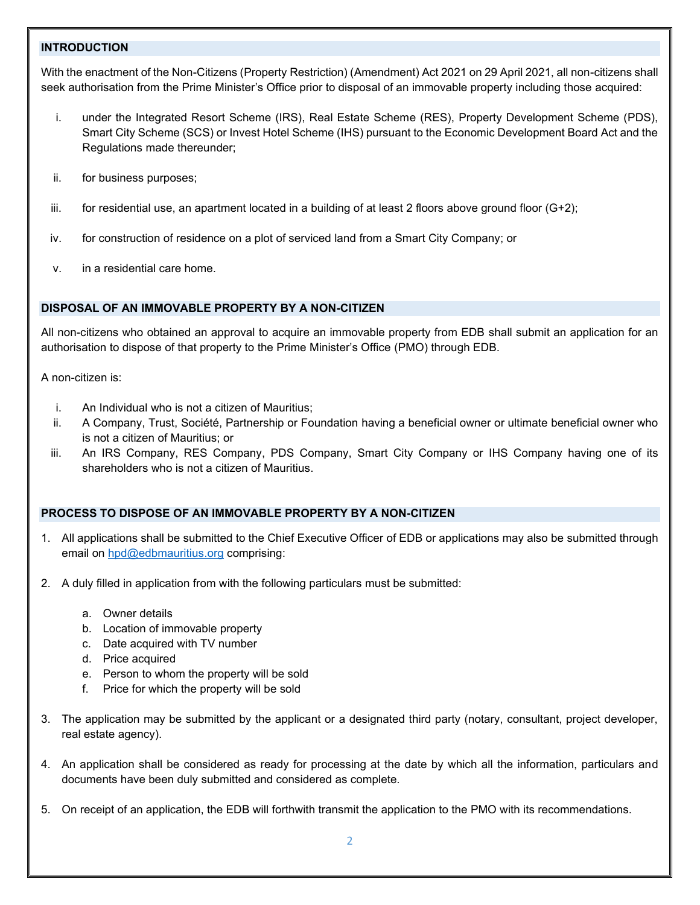#### **INTRODUCTION**

With the enactment of the Non-Citizens (Property Restriction) (Amendment) Act 2021 on 29 April 2021, all non-citizens shall seek authorisation from the Prime Minister's Office prior to disposal of an immovable property including those acquired:

- i. under the Integrated Resort Scheme (IRS), Real Estate Scheme (RES), Property Development Scheme (PDS), Smart City Scheme (SCS) or Invest Hotel Scheme (IHS) pursuant to the Economic Development Board Act and the Regulations made thereunder;
- ii. for business purposes;
- iii. for residential use, an apartment located in a building of at least 2 floors above ground floor  $(G+2)$ ;
- iv. for construction of residence on a plot of serviced land from a Smart City Company; or
- v. in a residential care home.

#### **DISPOSAL OF AN IMMOVABLE PROPERTY BY A NON-CITIZEN**

All non-citizens who obtained an approval to acquire an immovable property from EDB shall submit an application for an authorisation to dispose of that property to the Prime Minister's Office (PMO) through EDB.

A non-citizen is:

- i. An Individual who is not a citizen of Mauritius;
- ii. A Company, Trust, Société, Partnership or Foundation having a beneficial owner or ultimate beneficial owner who is not a citizen of Mauritius; or
- iii. An IRS Company, RES Company, PDS Company, Smart City Company or IHS Company having one of its shareholders who is not a citizen of Mauritius.

# **PROCESS TO DISPOSE OF AN IMMOVABLE PROPERTY BY A NON-CITIZEN**

- 1. All applications shall be submitted to the Chief Executive Officer of EDB or applications may also be submitted through email on [hpd@edbmauritius.org](mailto:hpd@edbmauritius.org) comprising:
- 2. A duly filled in application from with the following particulars must be submitted:
	- a. Owner details
	- b. Location of immovable property
	- c. Date acquired with TV number
	- d. Price acquired
	- e. Person to whom the property will be sold
	- f. Price for which the property will be sold
- 3. The application may be submitted by the applicant or a designated third party (notary, consultant, project developer, real estate agency).
- 4. An application shall be considered as ready for processing at the date by which all the information, particulars and documents have been duly submitted and considered as complete.
- 5. On receipt of an application, the EDB will forthwith transmit the application to the PMO with its recommendations.